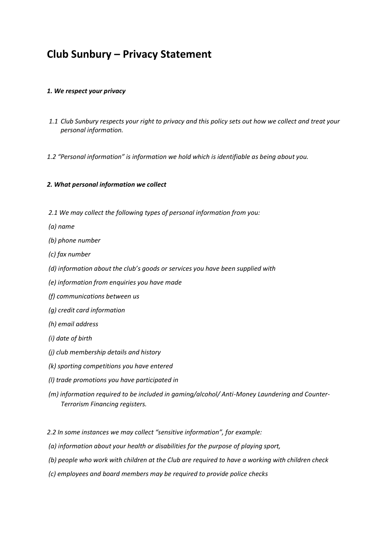# **Club Sunbury – Privacy Statement**

### *1. We respect your privacy*

- *1.1 Club Sunbury respects your right to privacy and this policy sets out how we collect and treat your personal information.*
- *1.2 "Personal information" is information we hold which is identifiable as being about you.*

### *2. What personal information we collect*

- *2.1 We may collect the following types of personal information from you:*
- *(a) name*
- *(b) phone number*
- *(c) fax number*
- *(d) information about the club's goods or services you have been supplied with*
- *(e) information from enquiries you have made*
- *(f) communications between us*
- *(g) credit card information*
- *(h) email address*
- *(i) date of birth*
- *(j) club membership details and history*
- *(k) sporting competitions you have entered*
- *(l) trade promotions you have participated in*
- *(m) information required to be included in gaming/alcohol/ Anti-Money Laundering and Counter-Terrorism Financing registers.*

*2.2 In some instances we may collect "sensitive information", for example:*

- *(a) information about your health or disabilities for the purpose of playing sport,*
- *(b) people who work with children at the Club are required to have a working with children check*
- *(c) employees and board members may be required to provide police checks*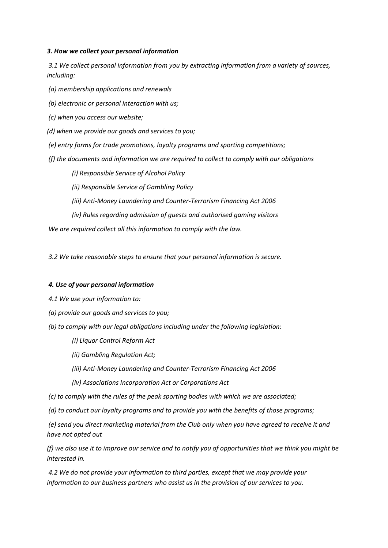#### *3. How we collect your personal information*

 *3.1 We collect personal information from you by extracting information from a variety of sources, including:* 

- *(a) membership applications and renewals*
- *(b) electronic or personal interaction with us;*
- *(c) when you access our website;*
- *(d) when we provide our goods and services to you;*
- *(e) entry forms for trade promotions, loyalty programs and sporting competitions;*
- *(f) the documents and information we are required to collect to comply with our obligations* 
	- *(i) Responsible Service of Alcohol Policy*
	- *(ii) Responsible Service of Gambling Policy*
	- *(iii) Anti-Money Laundering and Counter-Terrorism Financing Act 2006*
	- *(iv) Rules regarding admission of guests and authorised gaming visitors*

 *We are required collect all this information to comply with the law.* 

 *3.2 We take reasonable steps to ensure that your personal information is secure.* 

#### *4. Use of your personal information*

*4.1 We use your information to:* 

- *(a) provide our goods and services to you;*
- *(b) to comply with our legal obligations including under the following legislation:* 
	- *(i) Liquor Control Reform Act*
	- *(ii) Gambling Regulation Act;*
	- *(iii) Anti-Money Laundering and Counter-Terrorism Financing Act 2006*
	- *(iv) Associations Incorporation Act or Corporations Act*
- *(c) to comply with the rules of the peak sporting bodies with which we are associated;*
- *(d) to conduct our loyalty programs and to provide you with the benefits of those programs;*

 *(e) send you direct marketing material from the Club only when you have agreed to receive it and have not opted out* 

*(f) we also use it to improve our service and to notify you of opportunities that we think you might be interested in.* 

 *4.2 We do not provide your information to third parties, except that we may provide your information to our business partners who assist us in the provision of our services to you.*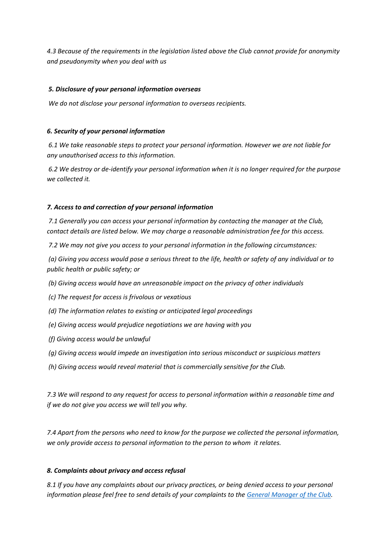*4.3 Because of the requirements in the legislation listed above the Club cannot provide for anonymity and pseudonymity when you deal with us* 

## *5. Disclosure of your personal information overseas*

 *We do not disclose your personal information to overseas recipients.* 

### *6. Security of your personal information*

 *6.1 We take reasonable steps to protect your personal information. However we are not liable for any unauthorised access to this information.* 

 *6.2 We destroy or de-identify your personal information when it is no longer required for the purpose we collected it.* 

### *7. Access to and correction of your personal information*

 *7.1 Generally you can access your personal information by contacting the manager at the Club, contact details are listed below. We may charge a reasonable administration fee for this access.* 

 *7.2 We may not give you access to your personal information in the following circumstances:* 

 *(a) Giving you access would pose a serious threat to the life, health or safety of any individual or to public health or public safety; or* 

 *(b) Giving access would have an unreasonable impact on the privacy of other individuals* 

 *(c) The request for access is frivolous or vexatious* 

 *(d) The information relates to existing or anticipated legal proceedings* 

- *(e) Giving access would prejudice negotiations we are having with you*
- *(f) Giving access would be unlawful*
- *(g) Giving access would impede an investigation into serious misconduct or suspicious matters*
- *(h) Giving access would reveal material that is commercially sensitive for the Club.*

*7.3 We will respond to any request for access to personal information within a reasonable time and if we do not give you access we will tell you why.* 

*7.4 Apart from the persons who need to know for the purpose we collected the personal information, we only provide access to personal information to the person to whom it relates.* 

## *8. Complaints about privacy and access refusal*

*8.1 If you have any complaints about our privacy practices, or being denied access to your personal information please feel free to send details of your complaints to the [General Manager of the Club.](mailto:manager@sunbowl.com.au)*